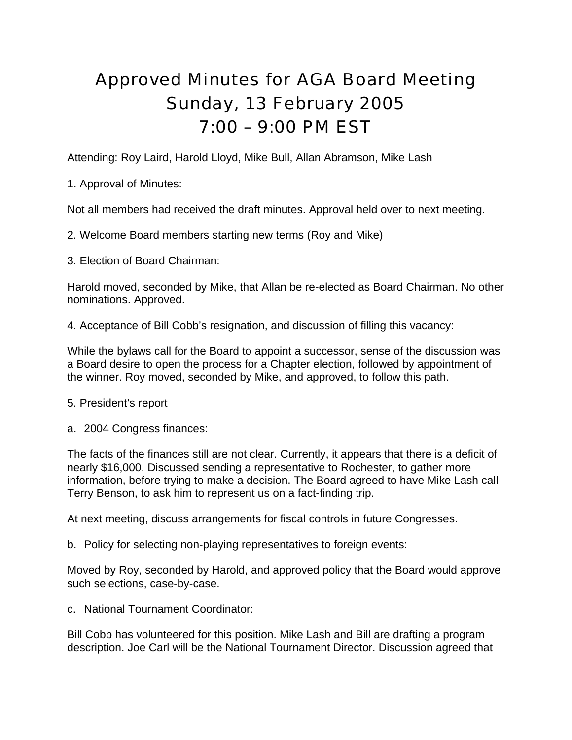## Approved Minutes for AGA Board Meeting Sunday, 13 February 2005 7:00 – 9:00 PM EST

Attending: Roy Laird, Harold Lloyd, Mike Bull, Allan Abramson, Mike Lash

1. Approval of Minutes:

Not all members had received the draft minutes. Approval held over to next meeting.

2. Welcome Board members starting new terms (Roy and Mike)

3. Election of Board Chairman:

Harold moved, seconded by Mike, that Allan be re-elected as Board Chairman. No other nominations. Approved.

4. Acceptance of Bill Cobb's resignation, and discussion of filling this vacancy:

While the bylaws call for the Board to appoint a successor, sense of the discussion was a Board desire to open the process for a Chapter election, followed by appointment of the winner. Roy moved, seconded by Mike, and approved, to follow this path.

- 5. President's report
- a. 2004 Congress finances:

The facts of the finances still are not clear. Currently, it appears that there is a deficit of nearly \$16,000. Discussed sending a representative to Rochester, to gather more information, before trying to make a decision. The Board agreed to have Mike Lash call Terry Benson, to ask him to represent us on a fact-finding trip.

At next meeting, discuss arrangements for fiscal controls in future Congresses.

b. Policy for selecting non-playing representatives to foreign events:

Moved by Roy, seconded by Harold, and approved policy that the Board would approve such selections, case-by-case.

c. National Tournament Coordinator:

Bill Cobb has volunteered for this position. Mike Lash and Bill are drafting a program description. Joe Carl will be the National Tournament Director. Discussion agreed that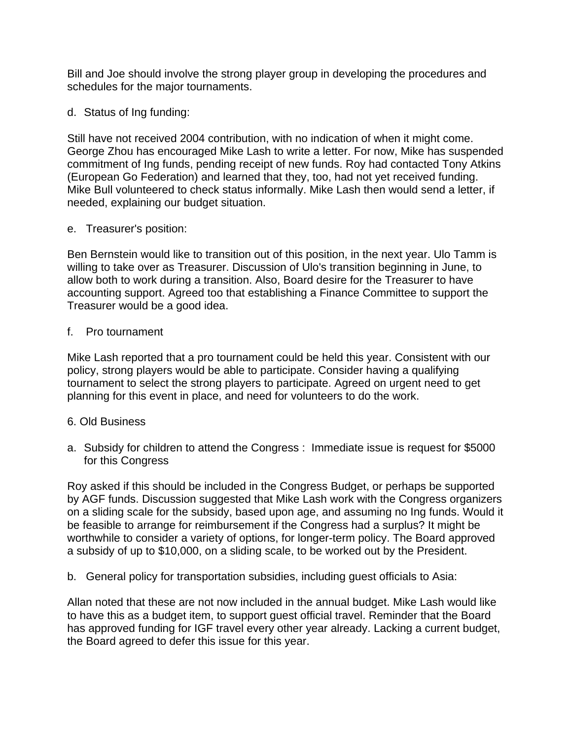Bill and Joe should involve the strong player group in developing the procedures and schedules for the major tournaments.

d. Status of Ing funding:

Still have not received 2004 contribution, with no indication of when it might come. George Zhou has encouraged Mike Lash to write a letter. For now, Mike has suspended commitment of Ing funds, pending receipt of new funds. Roy had contacted Tony Atkins (European Go Federation) and learned that they, too, had not yet received funding. Mike Bull volunteered to check status informally. Mike Lash then would send a letter, if needed, explaining our budget situation.

e. Treasurer's position:

Ben Bernstein would like to transition out of this position, in the next year. Ulo Tamm is willing to take over as Treasurer. Discussion of Ulo's transition beginning in June, to allow both to work during a transition. Also, Board desire for the Treasurer to have accounting support. Agreed too that establishing a Finance Committee to support the Treasurer would be a good idea.

f. Pro tournament

Mike Lash reported that a pro tournament could be held this year. Consistent with our policy, strong players would be able to participate. Consider having a qualifying tournament to select the strong players to participate. Agreed on urgent need to get planning for this event in place, and need for volunteers to do the work.

- 6. Old Business
- a. Subsidy for children to attend the Congress : Immediate issue is request for \$5000 for this Congress

Roy asked if this should be included in the Congress Budget, or perhaps be supported by AGF funds. Discussion suggested that Mike Lash work with the Congress organizers on a sliding scale for the subsidy, based upon age, and assuming no Ing funds. Would it be feasible to arrange for reimbursement if the Congress had a surplus? It might be worthwhile to consider a variety of options, for longer-term policy. The Board approved a subsidy of up to \$10,000, on a sliding scale, to be worked out by the President.

b. General policy for transportation subsidies, including guest officials to Asia:

Allan noted that these are not now included in the annual budget. Mike Lash would like to have this as a budget item, to support guest official travel. Reminder that the Board has approved funding for IGF travel every other year already. Lacking a current budget, the Board agreed to defer this issue for this year.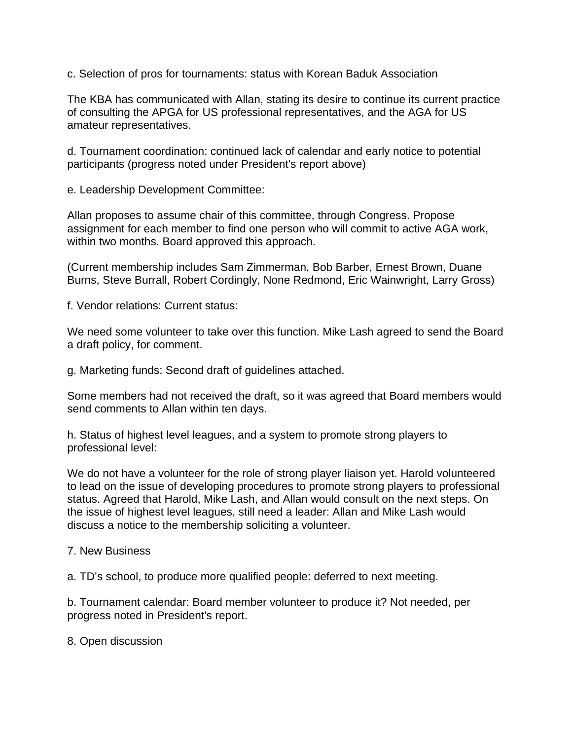c. Selection of pros for tournaments: status with Korean Baduk Association

The KBA has communicated with Allan, stating its desire to continue its current practice of consulting the APGA for US professional representatives, and the AGA for US amateur representatives.

d. Tournament coordination: continued lack of calendar and early notice to potential participants (progress noted under President's report above)

e. Leadership Development Committee:

Allan proposes to assume chair of this committee, through Congress. Propose assignment for each member to find one person who will commit to active AGA work, within two months. Board approved this approach.

(Current membership includes Sam Zimmerman, Bob Barber, Ernest Brown, Duane Burns, Steve Burrall, Robert Cordingly, None Redmond, Eric Wainwright, Larry Gross)

f. Vendor relations: Current status:

We need some volunteer to take over this function. Mike Lash agreed to send the Board a draft policy, for comment.

g. Marketing funds: Second draft of guidelines attached.

Some members had not received the draft, so it was agreed that Board members would send comments to Allan within ten days.

h. Status of highest level leagues, and a system to promote strong players to professional level:

We do not have a volunteer for the role of strong player liaison yet. Harold volunteered to lead on the issue of developing procedures to promote strong players to professional status. Agreed that Harold, Mike Lash, and Allan would consult on the next steps. On the issue of highest level leagues, still need a leader: Allan and Mike Lash would discuss a notice to the membership soliciting a volunteer.

## 7. New Business

a. TD's school, to produce more qualified people: deferred to next meeting.

b. Tournament calendar: Board member volunteer to produce it? Not needed, per progress noted in President's report.

8. Open discussion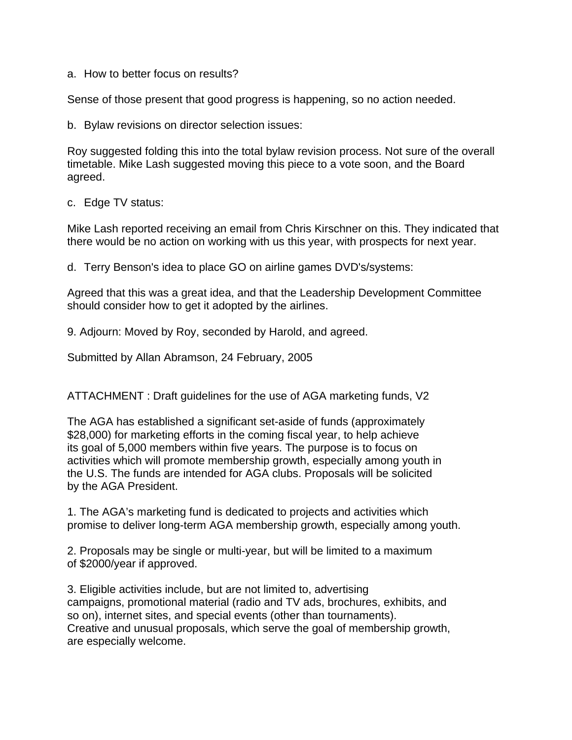a. How to better focus on results?

Sense of those present that good progress is happening, so no action needed.

b. Bylaw revisions on director selection issues:

Roy suggested folding this into the total bylaw revision process. Not sure of the overall timetable. Mike Lash suggested moving this piece to a vote soon, and the Board agreed.

c. Edge TV status:

Mike Lash reported receiving an email from Chris Kirschner on this. They indicated that there would be no action on working with us this year, with prospects for next year.

d. Terry Benson's idea to place GO on airline games DVD's/systems:

Agreed that this was a great idea, and that the Leadership Development Committee should consider how to get it adopted by the airlines.

9. Adjourn: Moved by Roy, seconded by Harold, and agreed.

Submitted by Allan Abramson, 24 February, 2005

ATTACHMENT : Draft guidelines for the use of AGA marketing funds, V2

The AGA has established a significant set-aside of funds (approximately \$28,000) for marketing efforts in the coming fiscal year, to help achieve its goal of 5,000 members within five years. The purpose is to focus on activities which will promote membership growth, especially among youth in the U.S. The funds are intended for AGA clubs. Proposals will be solicited by the AGA President.

1. The AGA's marketing fund is dedicated to projects and activities which promise to deliver long-term AGA membership growth, especially among youth.

2. Proposals may be single or multi-year, but will be limited to a maximum of \$2000/year if approved.

3. Eligible activities include, but are not limited to, advertising campaigns, promotional material (radio and TV ads, brochures, exhibits, and so on), internet sites, and special events (other than tournaments). Creative and unusual proposals, which serve the goal of membership growth, are especially welcome.